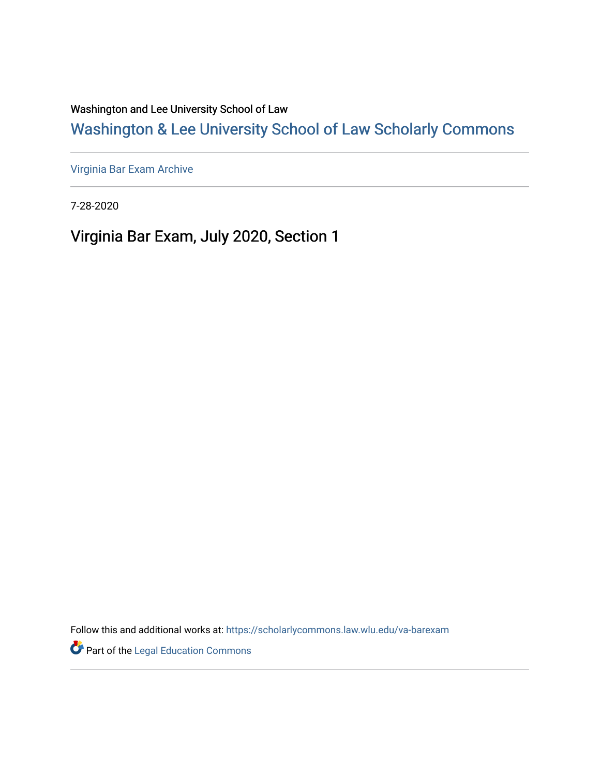Washington and Lee University School of Law

# [Washington & Lee University School of Law Scholarly Commons](https://scholarlycommons.law.wlu.edu/)

[Virginia Bar Exam Archive](https://scholarlycommons.law.wlu.edu/va-barexam)

7-28-2020

Virginia Bar Exam, July 2020, Section 1

Follow this and additional works at: [https://scholarlycommons.law.wlu.edu/va-barexam](https://scholarlycommons.law.wlu.edu/va-barexam?utm_source=scholarlycommons.law.wlu.edu%2Fva-barexam%2F219&utm_medium=PDF&utm_campaign=PDFCoverPages) 

**Part of the Legal Education Commons**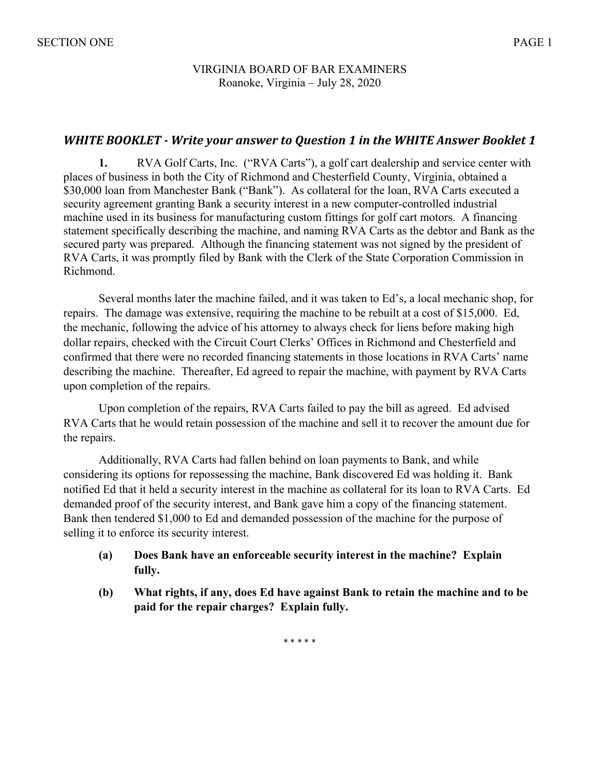#### VIRGINIA BOARD OF BAR EXAMINERS Roanoke, Virginia – July 28, 2020

### **WHITE BOOKLET** - Write your answer to Question 1 in the WHITE Answer Booklet 1

**1.** RVA Golf Carts, Inc. ("RVA Carts"), a golf cart dealership and service center with places of business in both the City of Richmond and Chesterfield County, Virginia, obtained a \$30,000 loan from Manchester Bank ("Bank"). As collateral for the loan, RVA Carts executed a security agreement granting Bank a security interest in a new computer-controlled industrial machine used in its business for manufacturing custom fittings for golf cart motors. A financing statement specifically describing the machine, and naming RVA Carts as the debtor and Bank as the secured party was prepared. Although the financing statement was not signed by the president of RVA Carts, it was promptly filed by Bank with the Clerk of the State Corporation Commission in Richmond.

Several months later the machine failed, and it was taken to Ed's, a local mechanic shop, for repairs. The damage was extensive, requiring the machine to be rebuilt at a cost of \$15,000. Ed, the mechanic, following the advice of his attorney to always check for liens before making high dollar repairs, checked with the Circuit Court Clerks' Offices in Richmond and Chesterfield and confirmed that there were no recorded financing statements in those locations in RVA Carts' name describing the machine. Thereafter, Ed agreed to repair the machine, with payment by RVA Carts upon completion of the repairs.

Upon completion of the repairs, RVA Carts failed to pay the bill as agreed. Ed advised RVA Carts that he would retain possession of the machine and sell it to recover the amount due for the repairs.

Additionally, RVA Carts had fallen behind on loan payments to Bank, and while considering its options for repossessing the machine, Bank discovered Ed was holding it. Bank notified Ed that it held a security interest in the machine as collateral for its loan to RVA Carts. Ed demanded proof of the security interest, and Bank gave him a copy of the financing statement. Bank then tendered \$1,000 to Ed and demanded possession of the machine for the purpose of selling it to enforce its security interest.

- **(a) Does Bank have an enforceable security interest in the machine? Explain fully.**
- **(b) What rights, if any, does Ed have against Bank to retain the machine and to be paid for the repair charges? Explain fully.**

\* \* \* \* \*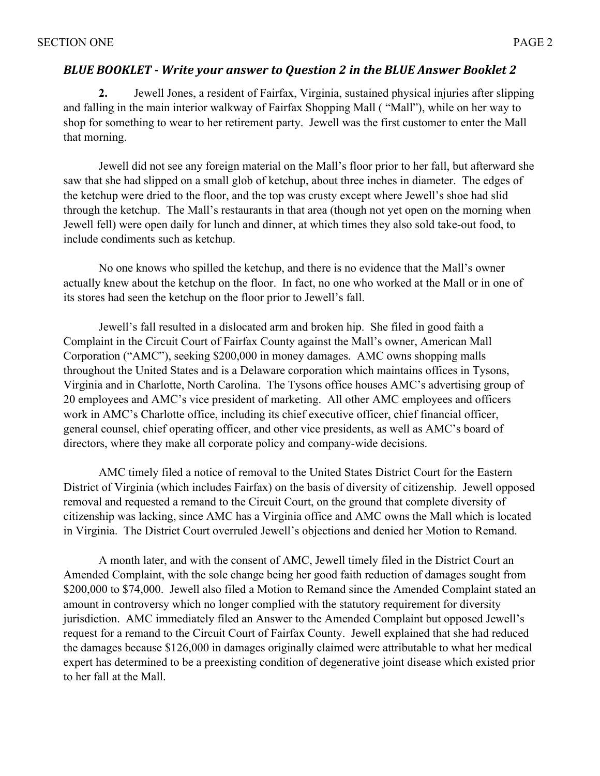## **BLUE BOOKLET** - Write your answer to Question 2 in the BLUE Answer Booklet 2

**2.** Jewell Jones, a resident of Fairfax, Virginia, sustained physical injuries after slipping and falling in the main interior walkway of Fairfax Shopping Mall ( "Mall"), while on her way to shop for something to wear to her retirement party. Jewell was the first customer to enter the Mall that morning.

Jewell did not see any foreign material on the Mall's floor prior to her fall, but afterward she saw that she had slipped on a small glob of ketchup, about three inches in diameter. The edges of the ketchup were dried to the floor, and the top was crusty except where Jewell's shoe had slid through the ketchup. The Mall's restaurants in that area (though not yet open on the morning when Jewell fell) were open daily for lunch and dinner, at which times they also sold take-out food, to include condiments such as ketchup.

No one knows who spilled the ketchup, and there is no evidence that the Mall's owner actually knew about the ketchup on the floor. In fact, no one who worked at the Mall or in one of its stores had seen the ketchup on the floor prior to Jewell's fall.

Jewell's fall resulted in a dislocated arm and broken hip. She filed in good faith a Complaint in the Circuit Court of Fairfax County against the Mall's owner, American Mall Corporation ("AMC"), seeking \$200,000 in money damages. AMC owns shopping malls throughout the United States and is a Delaware corporation which maintains offices in Tysons, Virginia and in Charlotte, North Carolina. The Tysons office houses AMC's advertising group of 20 employees and AMC's vice president of marketing. All other AMC employees and officers work in AMC's Charlotte office, including its chief executive officer, chief financial officer, general counsel, chief operating officer, and other vice presidents, as well as AMC's board of directors, where they make all corporate policy and company-wide decisions.

AMC timely filed a notice of removal to the United States District Court for the Eastern District of Virginia (which includes Fairfax) on the basis of diversity of citizenship. Jewell opposed removal and requested a remand to the Circuit Court, on the ground that complete diversity of citizenship was lacking, since AMC has a Virginia office and AMC owns the Mall which is located in Virginia. The District Court overruled Jewell's objections and denied her Motion to Remand.

A month later, and with the consent of AMC, Jewell timely filed in the District Court an Amended Complaint, with the sole change being her good faith reduction of damages sought from \$200,000 to \$74,000. Jewell also filed a Motion to Remand since the Amended Complaint stated an amount in controversy which no longer complied with the statutory requirement for diversity jurisdiction. AMC immediately filed an Answer to the Amended Complaint but opposed Jewell's request for a remand to the Circuit Court of Fairfax County. Jewell explained that she had reduced the damages because \$126,000 in damages originally claimed were attributable to what her medical expert has determined to be a preexisting condition of degenerative joint disease which existed prior to her fall at the Mall.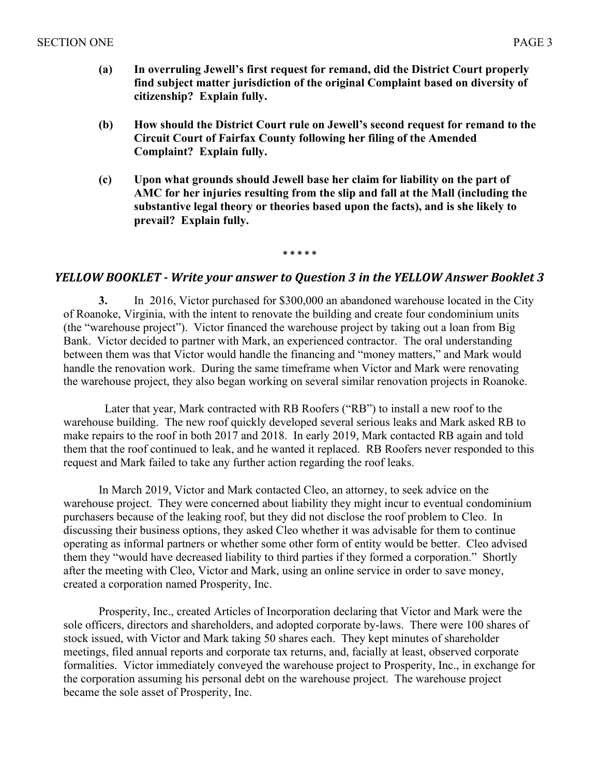- **(a) In overruling Jewell's first request for remand, did the District Court properly find subject matter jurisdiction of the original Complaint based on diversity of citizenship? Explain fully.**
- **(b) How should the District Court rule on Jewell's second request for remand to the Circuit Court of Fairfax County following her filing of the Amended Complaint? Explain fully.**
- **(c) Upon what grounds should Jewell base her claim for liability on the part of AMC for her injuries resulting from the slip and fall at the Mall (including the substantive legal theory or theories based upon the facts), and is she likely to prevail? Explain fully.**

**\* \* \* \* \***

### *YELLOW BOOKLET* - *Write your answer to Question 3 in the YELLOW Answer Booklet 3*

**3.** In 2016, Victor purchased for \$300,000 an abandoned warehouse located in the City of Roanoke, Virginia, with the intent to renovate the building and create four condominium units (the "warehouse project"). Victor financed the warehouse project by taking out a loan from Big Bank. Victor decided to partner with Mark, an experienced contractor. The oral understanding between them was that Victor would handle the financing and "money matters," and Mark would handle the renovation work. During the same timeframe when Victor and Mark were renovating the warehouse project, they also began working on several similar renovation projects in Roanoke.

 Later that year, Mark contracted with RB Roofers ("RB") to install a new roof to the warehouse building. The new roof quickly developed several serious leaks and Mark asked RB to make repairs to the roof in both 2017 and 2018. In early 2019, Mark contacted RB again and told them that the roof continued to leak, and he wanted it replaced. RB Roofers never responded to this request and Mark failed to take any further action regarding the roof leaks.

In March 2019, Victor and Mark contacted Cleo, an attorney, to seek advice on the warehouse project. They were concerned about liability they might incur to eventual condominium purchasers because of the leaking roof, but they did not disclose the roof problem to Cleo. In discussing their business options, they asked Cleo whether it was advisable for them to continue operating as informal partners or whether some other form of entity would be better. Cleo advised them they "would have decreased liability to third parties if they formed a corporation." Shortly after the meeting with Cleo, Victor and Mark, using an online service in order to save money, created a corporation named Prosperity, Inc.

Prosperity, Inc., created Articles of Incorporation declaring that Victor and Mark were the sole officers, directors and shareholders, and adopted corporate by-laws. There were 100 shares of stock issued, with Victor and Mark taking 50 shares each. They kept minutes of shareholder meetings, filed annual reports and corporate tax returns, and, facially at least, observed corporate formalities. Victor immediately conveyed the warehouse project to Prosperity, Inc., in exchange for the corporation assuming his personal debt on the warehouse project. The warehouse project became the sole asset of Prosperity, Inc.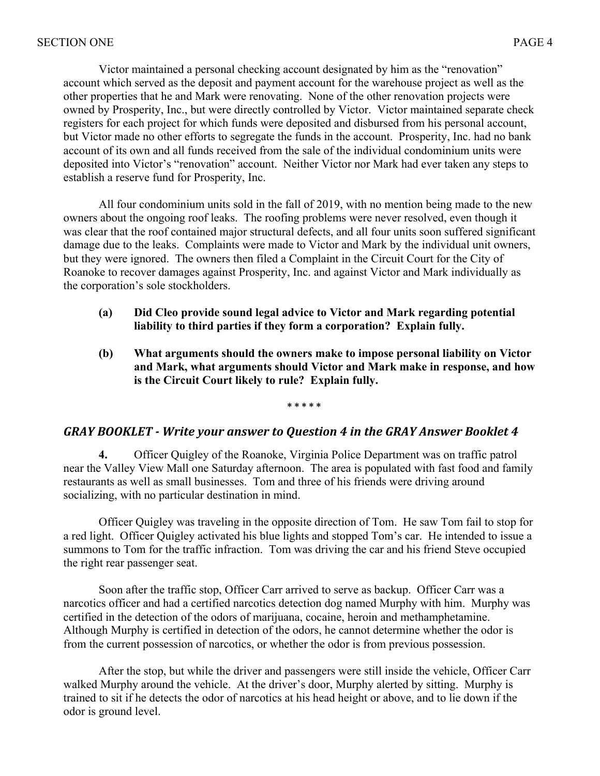Victor maintained a personal checking account designated by him as the "renovation" account which served as the deposit and payment account for the warehouse project as well as the other properties that he and Mark were renovating. None of the other renovation projects were owned by Prosperity, Inc., but were directly controlled by Victor. Victor maintained separate check registers for each project for which funds were deposited and disbursed from his personal account, but Victor made no other efforts to segregate the funds in the account. Prosperity, Inc. had no bank account of its own and all funds received from the sale of the individual condominium units were deposited into Victor's "renovation" account. Neither Victor nor Mark had ever taken any steps to establish a reserve fund for Prosperity, Inc.

All four condominium units sold in the fall of 2019, with no mention being made to the new owners about the ongoing roof leaks. The roofing problems were never resolved, even though it was clear that the roof contained major structural defects, and all four units soon suffered significant damage due to the leaks. Complaints were made to Victor and Mark by the individual unit owners, but they were ignored. The owners then filed a Complaint in the Circuit Court for the City of Roanoke to recover damages against Prosperity, Inc. and against Victor and Mark individually as the corporation's sole stockholders.

- **(a) Did Cleo provide sound legal advice to Victor and Mark regarding potential liability to third parties if they form a corporation? Explain fully.**
- **(b) What arguments should the owners make to impose personal liability on Victor and Mark, what arguments should Victor and Mark make in response, and how is the Circuit Court likely to rule? Explain fully.**

**\* \* \* \* \***

#### GRAY BOOKLET - Write your answer to Question 4 in the GRAY Answer Booklet 4

**4.** Officer Quigley of the Roanoke, Virginia Police Department was on traffic patrol near the Valley View Mall one Saturday afternoon. The area is populated with fast food and family restaurants as well as small businesses. Tom and three of his friends were driving around socializing, with no particular destination in mind.

Officer Quigley was traveling in the opposite direction of Tom. He saw Tom fail to stop for a red light. Officer Quigley activated his blue lights and stopped Tom's car. He intended to issue a summons to Tom for the traffic infraction. Tom was driving the car and his friend Steve occupied the right rear passenger seat.

Soon after the traffic stop, Officer Carr arrived to serve as backup. Officer Carr was a narcotics officer and had a certified narcotics detection dog named Murphy with him. Murphy was certified in the detection of the odors of marijuana, cocaine, heroin and methamphetamine. Although Murphy is certified in detection of the odors, he cannot determine whether the odor is from the current possession of narcotics, or whether the odor is from previous possession.

After the stop, but while the driver and passengers were still inside the vehicle, Officer Carr walked Murphy around the vehicle. At the driver's door, Murphy alerted by sitting. Murphy is trained to sit if he detects the odor of narcotics at his head height or above, and to lie down if the odor is ground level.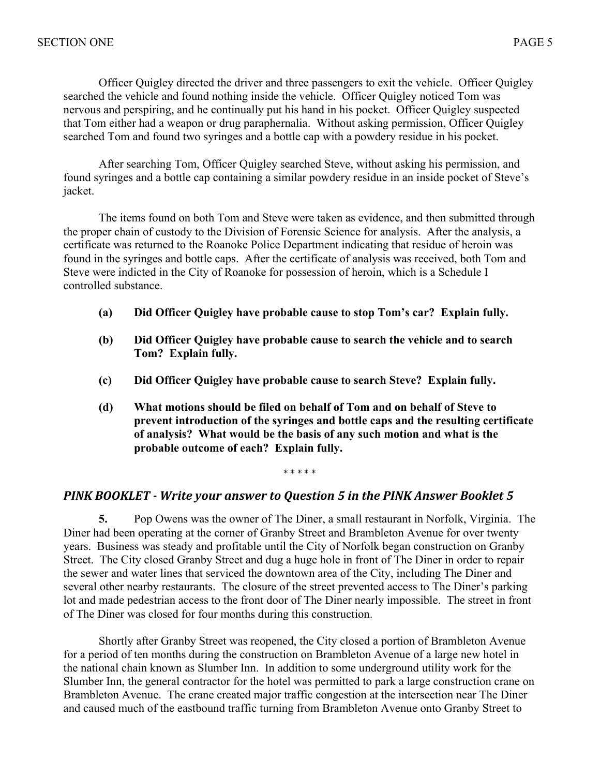Officer Quigley directed the driver and three passengers to exit the vehicle. Officer Quigley searched the vehicle and found nothing inside the vehicle. Officer Quigley noticed Tom was nervous and perspiring, and he continually put his hand in his pocket. Officer Quigley suspected that Tom either had a weapon or drug paraphernalia. Without asking permission, Officer Quigley searched Tom and found two syringes and a bottle cap with a powdery residue in his pocket.

After searching Tom, Officer Quigley searched Steve, without asking his permission, and found syringes and a bottle cap containing a similar powdery residue in an inside pocket of Steve's jacket.

The items found on both Tom and Steve were taken as evidence, and then submitted through the proper chain of custody to the Division of Forensic Science for analysis. After the analysis, a certificate was returned to the Roanoke Police Department indicating that residue of heroin was found in the syringes and bottle caps. After the certificate of analysis was received, both Tom and Steve were indicted in the City of Roanoke for possession of heroin, which is a Schedule I controlled substance.

- **(a) Did Officer Quigley have probable cause to stop Tom's car? Explain fully.**
- **(b) Did Officer Quigley have probable cause to search the vehicle and to search Tom? Explain fully.**
- **(c) Did Officer Quigley have probable cause to search Steve? Explain fully.**
- **(d) What motions should be filed on behalf of Tom and on behalf of Steve to prevent introduction of the syringes and bottle caps and the resulting certificate of analysis? What would be the basis of any such motion and what is the probable outcome of each? Explain fully.**

\* \* \* \* \*

### **PINK BOOKLET** - Write your answer to Question 5 in the PINK Answer Booklet 5

**5.** Pop Owens was the owner of The Diner, a small restaurant in Norfolk, Virginia. The Diner had been operating at the corner of Granby Street and Brambleton Avenue for over twenty years. Business was steady and profitable until the City of Norfolk began construction on Granby Street. The City closed Granby Street and dug a huge hole in front of The Diner in order to repair the sewer and water lines that serviced the downtown area of the City, including The Diner and several other nearby restaurants. The closure of the street prevented access to The Diner's parking lot and made pedestrian access to the front door of The Diner nearly impossible. The street in front of The Diner was closed for four months during this construction.

Shortly after Granby Street was reopened, the City closed a portion of Brambleton Avenue for a period of ten months during the construction on Brambleton Avenue of a large new hotel in the national chain known as Slumber Inn. In addition to some underground utility work for the Slumber Inn, the general contractor for the hotel was permitted to park a large construction crane on Brambleton Avenue. The crane created major traffic congestion at the intersection near The Diner and caused much of the eastbound traffic turning from Brambleton Avenue onto Granby Street to